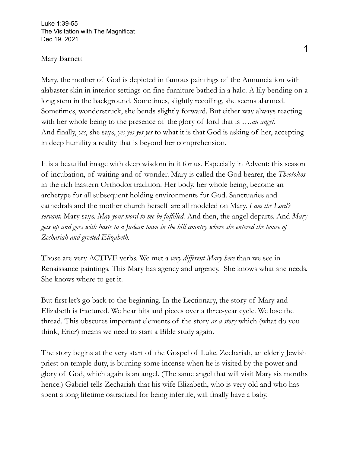Luke 1:39-55 The Visitation with The Magnificat Dec 19, 2021

## Mary Barnett

Mary, the mother of God is depicted in famous paintings of the Annunciation with alabaster skin in interior settings on fine furniture bathed in a halo. A lily bending on a long stem in the background. Sometimes, slightly recoiling, she seems alarmed. Sometimes, wonderstruck, she bends slightly forward. But either way always reacting with her whole being to the presence of the glory of lord that is ….*an angel.* And finally, *yes*, she says, *yes yes yes yes* to what it is that God is asking of her, accepting in deep humility a reality that is beyond her comprehension.

It is a beautiful image with deep wisdom in it for us. Especially in Advent: this season of incubation, of waiting and of wonder. Mary is called the God bearer, the *Theotokos* in the rich Eastern Orthodox tradition. Her body, her whole being, become an archetype for all subsequent holding environments for God. Sanctuaries and cathedrals and the mother church herself are all modeled on Mary. *I am the Lord's servant,* Mary says. *May your word to me be fulfilled.* And then, the angel departs. And *Mary gets up and goes with haste to a Judean town in the hill country where she entered the house of Zechariah and greeted Elizabeth.*

Those are very ACTIVE verbs. We met a *very different Mary here* than we see in Renaissance paintings. This Mary has agency and urgency. She knows what she needs. She knows where to get it.

But first let's go back to the beginning. In the Lectionary, the story of Mary and Elizabeth is fractured. We hear bits and pieces over a three-year cycle. We lose the thread. This obscures important elements of the story *as a story* which (what do you think, Eric?) means we need to start a Bible study again.

The story begins at the very start of the Gospel of Luke. Zechariah, an elderly Jewish priest on temple duty, is burning some incense when he is visited by the power and glory of God, which again is an angel. (The same angel that will visit Mary six months hence.) Gabriel tells Zechariah that his wife Elizabeth, who is very old and who has spent a long lifetime ostracized for being infertile, will finally have a baby.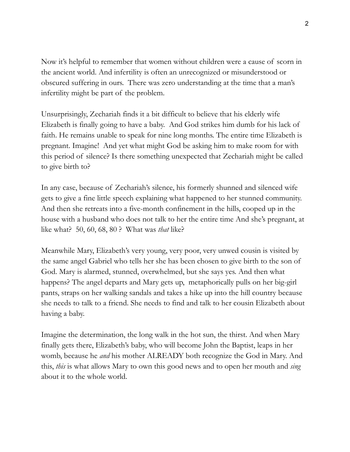Now it's helpful to remember that women without children were a cause of scorn in the ancient world. And infertility is often an unrecognized or misunderstood or obscured suffering in ours. There was zero understanding at the time that a man's infertility might be part of the problem.

Unsurprisingly, Zechariah finds it a bit difficult to believe that his elderly wife Elizabeth is finally going to have a baby. And God strikes him dumb for his lack of faith. He remains unable to speak for nine long months. The entire time Elizabeth is pregnant. Imagine! And yet what might God be asking him to make room for with this period of silence? Is there something unexpected that Zechariah might be called to give birth to?

In any case, because of Zechariah's silence, his formerly shunned and silenced wife gets to give a fine little speech explaining what happened to her stunned community. And then she retreats into a five-month confinement in the hills, cooped up in the house with a husband who does not talk to her the entire time And she's pregnant, at like what? 50, 60, 68, 80 ? What was *that* like?

Meanwhile Mary, Elizabeth's very young, very poor, very unwed cousin is visited by the same angel Gabriel who tells her she has been chosen to give birth to the son of God. Mary is alarmed, stunned, overwhelmed, but she says yes. And then what happens? The angel departs and Mary gets up, metaphorically pulls on her big-girl pants, straps on her walking sandals and takes a hike up into the hill country because she needs to talk to a friend. She needs to find and talk to her cousin Elizabeth about having a baby.

Imagine the determination, the long walk in the hot sun, the thirst. And when Mary finally gets there, Elizabeth's baby, who will become John the Baptist, leaps in her womb, because he *and* his mother ALREADY both recognize the God in Mary. And this, *this* is what allows Mary to own this good news and to open her mouth and *sing* about it to the whole world.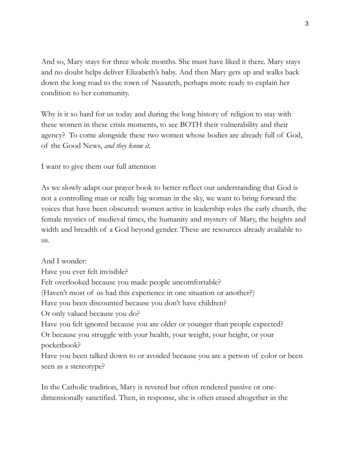And so, Mary stays for three whole months. She must have liked it there. Mary stays and no doubt helps deliver Elizabeth's baby. And then Mary gets up and walks back down the long road to the town of Nazareth, perhaps more ready to explain her condition to her community.

Why is it so hard for us today and during the long history of religion to stay with these women in these crisis moments, to see BOTH their vulnerability and their agency? To come alongside these two women whose bodies are already full of God, of the Good News, *and they know it.*

I want to give them our full attention

As we slowly adapt our prayer book to better reflect our understanding that God is not a controlling man or really big woman in the sky, we want to bring forward the voices that have been obscured: women active in leadership roles the early church, the female mystics of medieval times, the humanity and mystery of Mary, the heights and width and breadth of a God beyond gender. These are resources already available to us.

And I wonder: Have you ever felt invisible? Felt overlooked because you made people uncomfortable? (Haven't most of us had this experience in one situation or another?) Have you been discounted because you don't have children? Or only valued because you do? Have you felt ignored because you are older or younger than people expected? Or because you struggle with your health, your weight, your height, or your pocketbook? Have you been talked down to or avoided because you are a person of color or been seen as a stereotype?

In the Catholic tradition, Mary is revered but often rendered passive or onedimensionally sanctified. Then, in response, she is often erased altogether in the